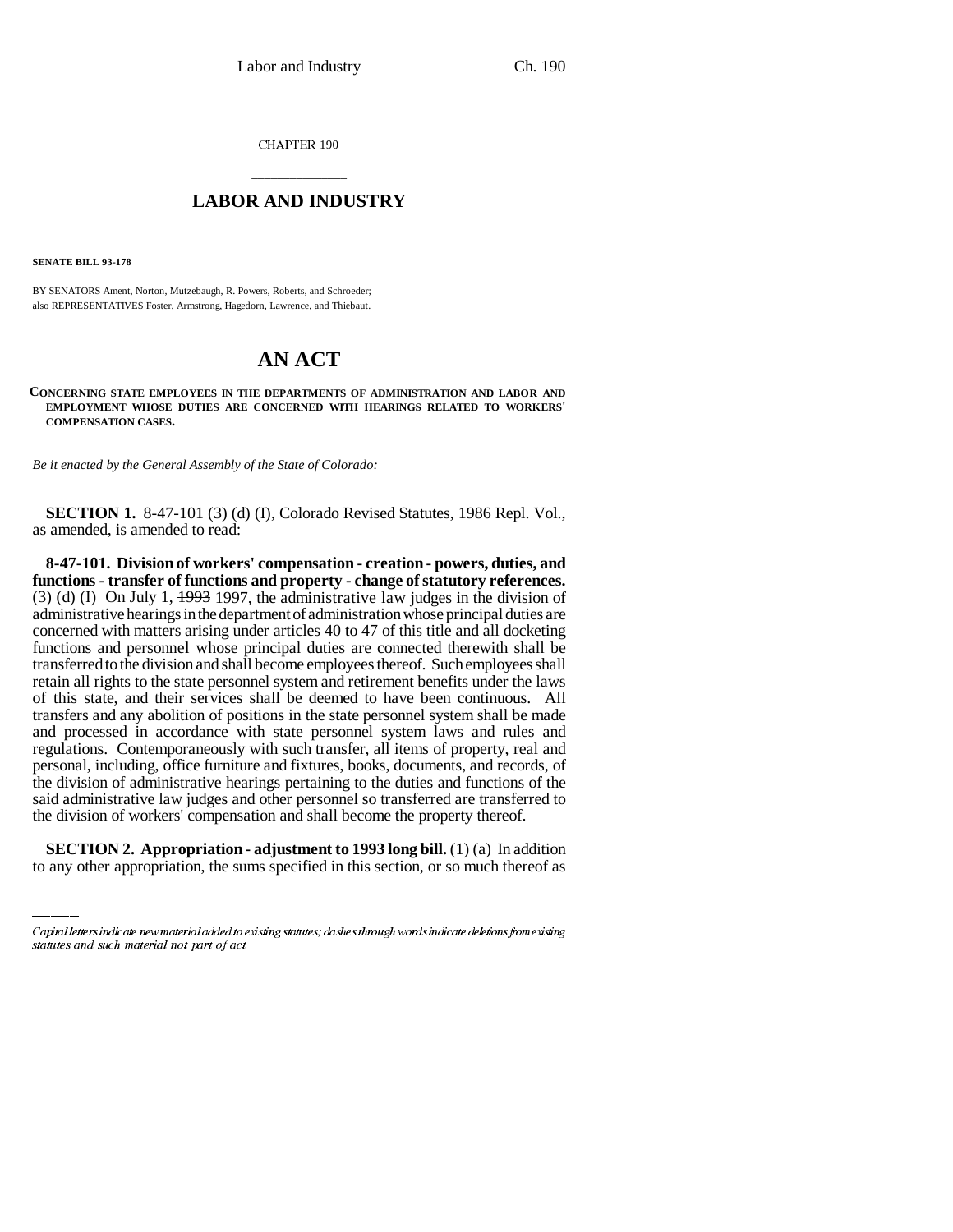CHAPTER 190

## \_\_\_\_\_\_\_\_\_\_\_\_\_\_\_ **LABOR AND INDUSTRY** \_\_\_\_\_\_\_\_\_\_\_\_\_\_\_

**SENATE BILL 93-178**

BY SENATORS Ament, Norton, Mutzebaugh, R. Powers, Roberts, and Schroeder; also REPRESENTATIVES Foster, Armstrong, Hagedorn, Lawrence, and Thiebaut.

## **AN ACT**

**CONCERNING STATE EMPLOYEES IN THE DEPARTMENTS OF ADMINISTRATION AND LABOR AND EMPLOYMENT WHOSE DUTIES ARE CONCERNED WITH HEARINGS RELATED TO WORKERS' COMPENSATION CASES.**

*Be it enacted by the General Assembly of the State of Colorado:*

**SECTION 1.** 8-47-101 (3) (d) (I), Colorado Revised Statutes, 1986 Repl. Vol., as amended, is amended to read:

said administrative law judges and other personnel so transferred are transferred to **8-47-101. Division of workers' compensation - creation - powers, duties, and functions - transfer of functions and property - change of statutory references.** (3) (d) (I) On July 1,  $\frac{1993}{1997}$ , the administrative law judges in the division of administrative hearings in the department of administration whose principal duties are concerned with matters arising under articles 40 to 47 of this title and all docketing functions and personnel whose principal duties are connected therewith shall be transferred to the division and shall become employees thereof. Such employees shall retain all rights to the state personnel system and retirement benefits under the laws of this state, and their services shall be deemed to have been continuous. All transfers and any abolition of positions in the state personnel system shall be made and processed in accordance with state personnel system laws and rules and regulations. Contemporaneously with such transfer, all items of property, real and personal, including, office furniture and fixtures, books, documents, and records, of the division of administrative hearings pertaining to the duties and functions of the the division of workers' compensation and shall become the property thereof.

**SECTION 2. Appropriation - adjustment to 1993 long bill.** (1) (a) In addition to any other appropriation, the sums specified in this section, or so much thereof as

Capital letters indicate new material added to existing statutes; dashes through words indicate deletions from existing statutes and such material not part of act.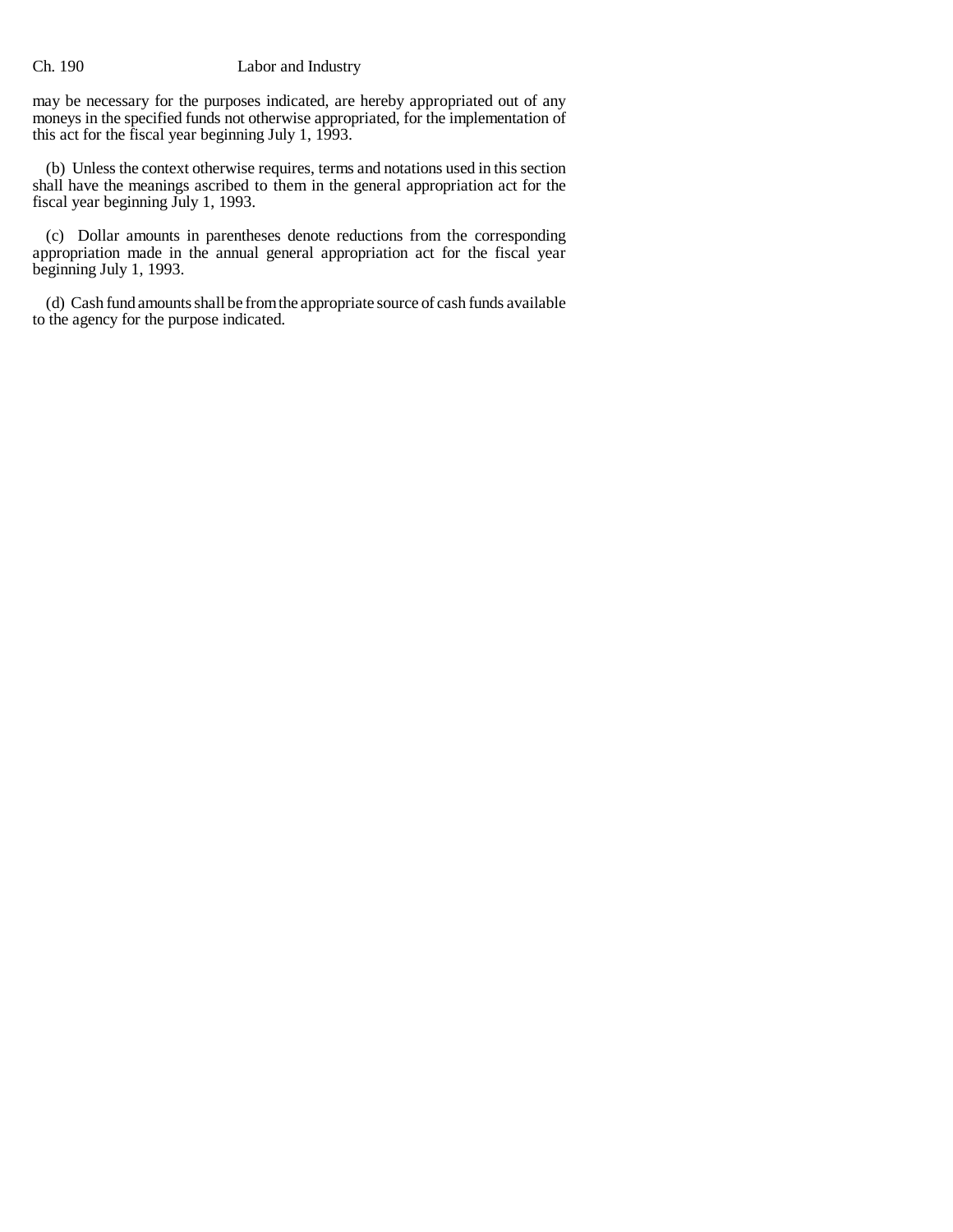## Ch. 190 Labor and Industry

may be necessary for the purposes indicated, are hereby appropriated out of any moneys in the specified funds not otherwise appropriated, for the implementation of this act for the fiscal year beginning July 1, 1993.

(b) Unless the context otherwise requires, terms and notations used in this section shall have the meanings ascribed to them in the general appropriation act for the fiscal year beginning July 1, 1993.

(c) Dollar amounts in parentheses denote reductions from the corresponding appropriation made in the annual general appropriation act for the fiscal year beginning July 1, 1993.

(d) Cash fund amounts shall be from the appropriate source of cash funds available to the agency for the purpose indicated.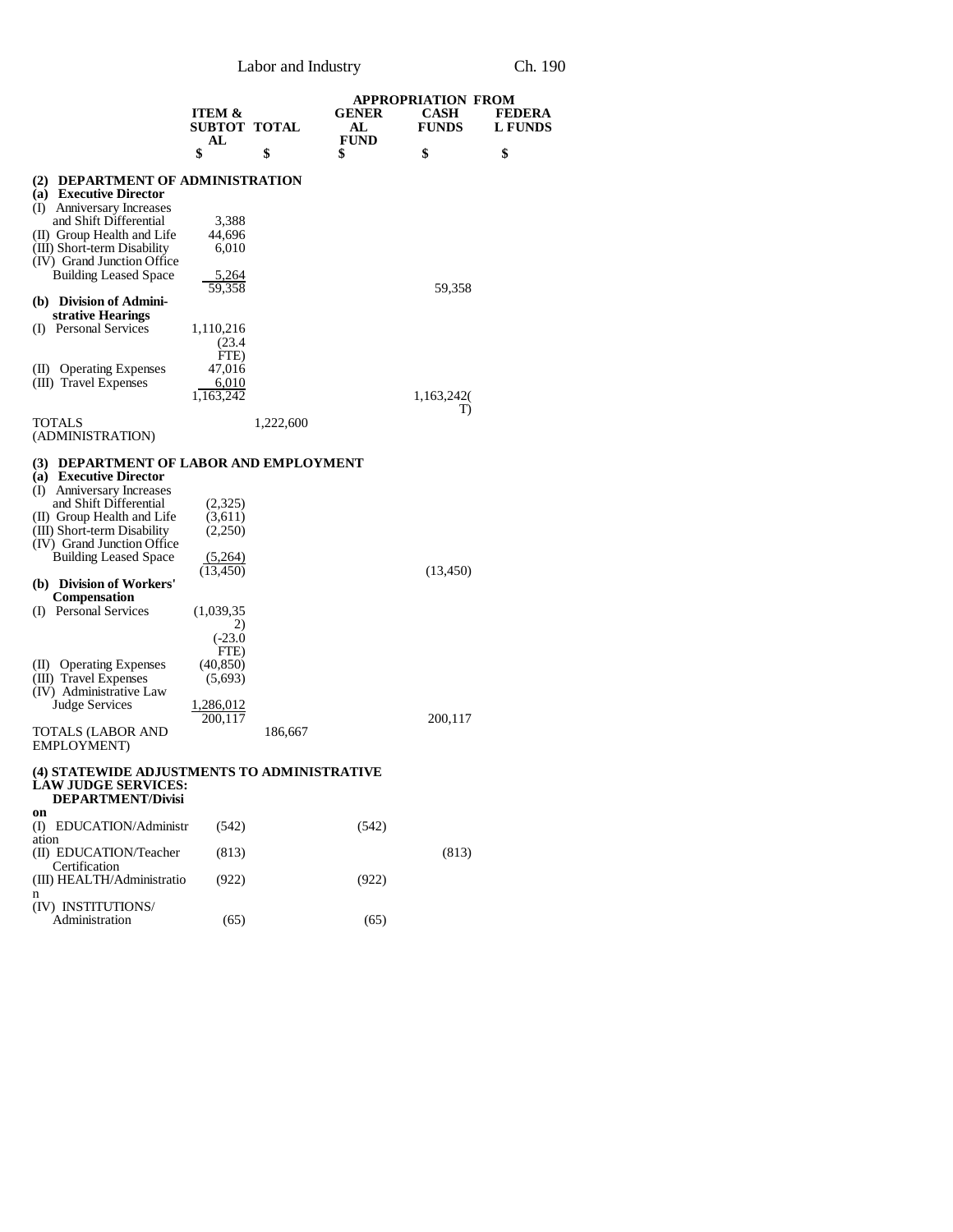Labor and Industry Ch. 190

|                                                                                                                                                                                | <b>ITEM &amp;</b><br><b>SUBTOT TOTAL</b>       |           | GENER<br>AL       | <b>APPROPRIATION FROM</b><br>CASH<br><b>FUNDS</b> | FEDERA<br><b>L FUNDS</b> |
|--------------------------------------------------------------------------------------------------------------------------------------------------------------------------------|------------------------------------------------|-----------|-------------------|---------------------------------------------------|--------------------------|
|                                                                                                                                                                                | AL<br>\$                                       | \$        | <b>FUND</b><br>\$ | \$                                                | \$                       |
| (2) DEPARTMENT OF ADMINISTRATION<br>(a) Executive Director                                                                                                                     |                                                |           |                   |                                                   |                          |
| (I) Anniversary Increases<br>and Shift Differential<br>(II) Group Health and Life<br>(III) Short-term Disability<br>(IV) Grand Junction Office                                 | 3,388<br>44,696<br>6,010                       |           |                   |                                                   |                          |
| <b>Building Leased Space</b>                                                                                                                                                   | 5,264<br>59,358                                |           |                   | 59,358                                            |                          |
| (b) Division of Admini-<br>strative Hearings<br>(I) Personal Services                                                                                                          | 1,110,216                                      |           |                   |                                                   |                          |
| <b>Operating Expenses</b><br>(II)<br>(III) Travel Expenses                                                                                                                     | (23.4)<br>FTE)<br>47,016<br>6,010<br>1,163,242 |           |                   | 1,163,242                                         |                          |
| TOTALS<br>(ADMINISTRATION)                                                                                                                                                     |                                                | 1,222,600 |                   | T)                                                |                          |
| (3) DEPARTMENT OF LABOR AND EMPLOYMENT<br>(a) Executive Director                                                                                                               |                                                |           |                   |                                                   |                          |
| (I) Anniversary Increases<br>and Shift Differential<br>(II) Group Health and Life<br>(III) Short-term Disability<br>(IV) Grand Junction Office<br><b>Building Leased Space</b> | (2,325)<br>(3,611)<br>(2,250)<br>(5,264)       |           |                   |                                                   |                          |
| (b) Division of Workers'<br><b>Compensation</b>                                                                                                                                | (13, 450)                                      |           |                   | (13, 450)                                         |                          |
| (I) Personal Services                                                                                                                                                          | (1,039,35)<br>2)<br>$(-23.0)$<br>FTE)          |           |                   |                                                   |                          |
| (II) Operating Expenses<br>(III) Travel Expenses<br>(IV) Administrative Law                                                                                                    | (40, 850)<br>(5,693)                           |           |                   |                                                   |                          |
| <b>Judge Services</b><br>TOTALS (LABOR AND<br>EMPLOYMENT)                                                                                                                      | <u>1,286,012</u><br>200.117                    | 186,667   |                   | 200,117                                           |                          |
| (4) STATEWIDE ADJUSTMENTS TO ADMINISTRATIVE<br><b>LAW JUDGE SERVICES:</b><br>DEPARTMENT/Divisi                                                                                 |                                                |           |                   |                                                   |                          |
| on<br>(I) EDUCATION/Administr<br>ation                                                                                                                                         | (542)                                          |           | (542)             |                                                   |                          |
| (II) EDUCATION/Teacher<br>Certification                                                                                                                                        | (813)                                          |           |                   | (813)                                             |                          |
| (III) HEALTH/Administratio<br>n                                                                                                                                                | (922)                                          |           | (922)             |                                                   |                          |
| (IV) INSTITUTIONS/<br>Administration                                                                                                                                           | (65)                                           |           | (65)              |                                                   |                          |